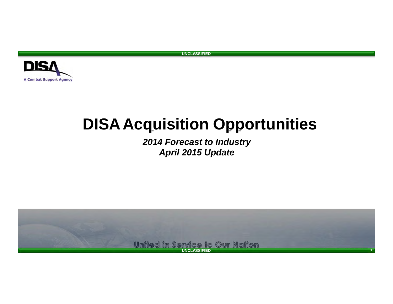

# **DISAAcquisition Opportunities**

*2014 Forecast to Industry April 2015 Update*

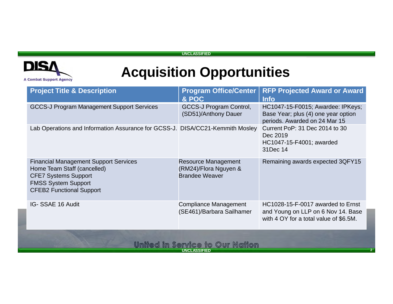

# **Acquisition Opportunities**

| <b>Project Title &amp; Description</b>                                                                                                                                      | <b>Program Office/Center</b><br>& POC                                 | <b>RFP Projected Award or Award</b><br><b>Info</b>                                                                |  |
|-----------------------------------------------------------------------------------------------------------------------------------------------------------------------------|-----------------------------------------------------------------------|-------------------------------------------------------------------------------------------------------------------|--|
| <b>GCCS-J Program Management Support Services</b>                                                                                                                           | GCCS-J Program Control,<br>(SD51)/Anthony Dauer                       | HC1047-15-F0015; Awardee: IPKeys;<br>Base Year; plus (4) one year option<br>periods. Awarded on 24 Mar 15         |  |
| Lab Operations and Information Assurance for GCSS-J. DISA/CC21-Kemmith Mosley                                                                                               |                                                                       | Current PoP: 31 Dec 2014 to 30<br>Dec 2019<br>HC1047-15-F4001; awarded<br>31Dec 14                                |  |
| <b>Financial Management Support Services</b><br>Home Team Staff (cancelled)<br><b>CFE7 Systems Support</b><br><b>FMSS System Support</b><br><b>CFEB2 Functional Support</b> | Resource Management<br>(RM24)/Flora Nguyen &<br><b>Brandee Weaver</b> | Remaining awards expected 3QFY15                                                                                  |  |
| IG- SSAE 16 Audit                                                                                                                                                           | <b>Compliance Management</b><br>(SE461)/Barbara Sailhamer             | HC1028-15-F-0017 awarded to Ernst<br>and Young on LLP on 6 Nov 14. Base<br>with 4 OY for a total value of \$6.5M. |  |
| United in Service to Our Nation                                                                                                                                             |                                                                       |                                                                                                                   |  |

**UNCLASSIFIED**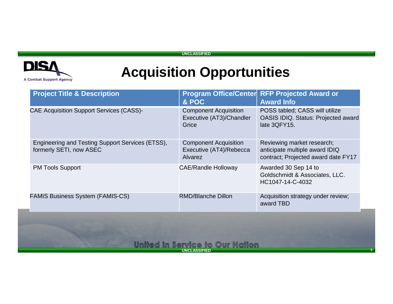### **DIS/ A Combat Support Agency**

**UNCLASSIFIED**

| <b>Project Title &amp; Description</b>                                                                                  | & POC                                                                     | Program Office/Center RFP Projected Award or<br><b>Award Info</b>                                   |  |  |
|-------------------------------------------------------------------------------------------------------------------------|---------------------------------------------------------------------------|-----------------------------------------------------------------------------------------------------|--|--|
| <b>CAE Acquisition Support Services (CASS)-</b>                                                                         | <b>Component Acquisition</b><br>Executive (AT3)/Chandler<br>Grice         | POSS tabled; CASS will utilize<br>OASIS IDIQ. Status: Projected award<br>late 3QFY15.               |  |  |
| Engineering and Testing Support Services (ETSS),<br>formerly SETI, now ASEC                                             | <b>Component Acquisition</b><br>Executive (AT4)/Rebecca<br><b>Alvarez</b> | Reviewing market research;<br>anticipate multiple award IDIQ<br>contract; Projected award date FY17 |  |  |
| <b>PM Tools Support</b>                                                                                                 | <b>CAE/Randle Holloway</b>                                                | Awarded 30 Sep 14 to<br>Goldschmidt & Associates, LLC.<br>HC1047-14-C-4032                          |  |  |
| <b>FAMIS Business System (FAMIS-CS)</b><br><b>RMD/Blanche Dillon</b><br>Acquisition strategy under review;<br>award TBD |                                                                           |                                                                                                     |  |  |
| <u>United in Service to Our Nation</u>                                                                                  |                                                                           |                                                                                                     |  |  |
| <b>UNCLASSIFIED</b>                                                                                                     |                                                                           |                                                                                                     |  |  |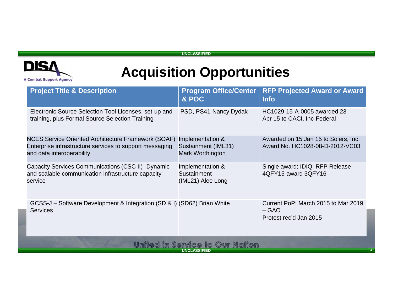

| <b>Project Title &amp; Description</b>                                                                                                             | <b>Program Office/Center</b><br>& POC                       | <b>RFP Projected Award or Award</b><br><b>Info</b>                       |  |  |  |
|----------------------------------------------------------------------------------------------------------------------------------------------------|-------------------------------------------------------------|--------------------------------------------------------------------------|--|--|--|
| Electronic Source Selection Tool Licenses, set-up and<br>training, plus Formal Source Selection Training                                           | PSD, PS41-Nancy Dydak                                       | HC1029-15-A-0005 awarded 23<br>Apr 15 to CACI, Inc-Federal               |  |  |  |
| <b>NCES Service Oriented Architecture Framework (SOAF)</b><br>Enterprise infrastructure services to support messaging<br>and data interoperability | Implementation &<br>Sustainment (IML31)<br>Mark Worthington | Awarded on 15 Jan 15 to Solers, Inc.<br>Award No. HC1028-08-D-2012-VC03  |  |  |  |
| Capacity Services Communications (CSC II)- Dynamic<br>and scalable communication infrastructure capacity<br>service                                | Implementation &<br>Sustainment<br>(IML21) Alee Long        | Single award; IDIQ; RFP Release<br>4QFY15-award 3QFY16                   |  |  |  |
| GCSS-J – Software Development & Integration (SD & I) (SD62) Brian White<br><b>Services</b>                                                         |                                                             | Current PoP: March 2015 to Mar 2019<br>$-$ GAO<br>Protest rec'd Jan 2015 |  |  |  |
| United in Service to Our Nation                                                                                                                    |                                                             |                                                                          |  |  |  |
|                                                                                                                                                    | <b>UNCLASSIFIED</b>                                         |                                                                          |  |  |  |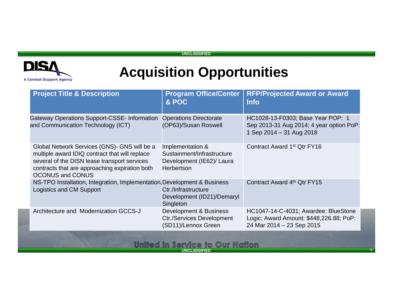### **DIS/ A Combat Support Agency**

**UNCLASSIFIED**

### **Acquisition Opportunities**

| <b>Project Title &amp; Description</b>                                                                                                                                                                                      | <b>Program Office/Center</b><br>& POC                                                            | <b>RFP/Projected Award or Award</b><br><b>Info</b>                                                           |
|-----------------------------------------------------------------------------------------------------------------------------------------------------------------------------------------------------------------------------|--------------------------------------------------------------------------------------------------|--------------------------------------------------------------------------------------------------------------|
| <b>Gateway Operations Support-CSSE- Information</b><br>and Communication Technology (ICT)                                                                                                                                   | <b>Operations Directorate</b><br>(OP63)/Susan Roswell                                            | HC1028-13-F0303; Base Year POP: 1<br>Sep 2013-31 Aug 2014; 4 year option PoP:<br>1 Sep 2014 - 31 Aug 2018    |
| Global Network Services (GNS)- GNS will be a<br>multiple award IDIQ contract that will replace<br>several of the DISN lease transport services<br>contracts that are approaching expiration both<br><b>OCONUS and CONUS</b> | Implementation &<br>Sustainment/Infrastructure<br>Development (IE62)/ Laura<br><b>Herbertson</b> | Contract Award 1 <sup>st</sup> Qtr FY16                                                                      |
| NS-TPO Installation, Integration, Implementation, Development & Business<br>Logistics and CM Support                                                                                                                        | Ctr./Infrastructure<br>Development (ID21)/Demaryl<br>Singleton                                   | Contract Award 4th Qtr FY15                                                                                  |
| Architecture and Modernization GCCS-J                                                                                                                                                                                       | Development & Business<br><b>Ctr./Services Development</b><br>(SD11)/Lennox Green                | HC1047-14-C-4031; Awardee: BlueStone<br>Logic; Award Amount: \$448,226.88; PoP:<br>24 Mar 2014 - 23 Sep 2015 |
|                                                                                                                                                                                                                             | United in Service to Our Nation                                                                  |                                                                                                              |

**UNCLASSIFIED**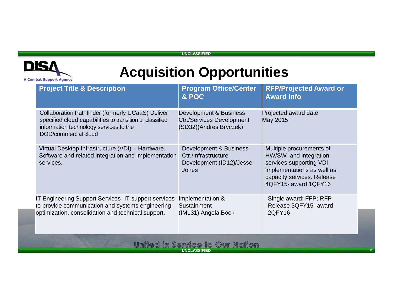

# **Acquisition Opportunities**

| <b>Project Title &amp; Description</b>                                                                                                                                                | <b>Program Office/Center</b><br>& POC                                                | <b>RFP/Projected Award or</b><br><b>Award Info</b>                                                                                                               |
|---------------------------------------------------------------------------------------------------------------------------------------------------------------------------------------|--------------------------------------------------------------------------------------|------------------------------------------------------------------------------------------------------------------------------------------------------------------|
| <b>Collaboration Pathfinder (formerly UCaaS) Deliver</b><br>specified cloud capabilities to transition unclassified<br>information technology services to the<br>DOD/commercial cloud | Development & Business<br><b>Ctr./Services Development</b><br>(SD32)(Andres Bryczek) | Projected award date<br>May 2015                                                                                                                                 |
| Virtual Desktop Infrastructure (VDI) - Hardware,<br>Software and related integration and implementation<br>services.                                                                  | Development & Business<br>Ctr./Infrastructure<br>Development (ID12)/Jesse<br>Jones   | Multiple procurements of<br>HW/SW and integration<br>services supporting VDI<br>implementations as well as<br>capacity services. Release<br>4QFY15- award 1QFY16 |
| IT Engineering Support Services- IT support services<br>to provide communication and systems engineering<br>optimization, consolidation and technical support.                        | Implementation &<br>Sustainment<br>(IML31) Angela Book                               | Single award; FFP; RFP<br>Release 3QFY15- award<br>2QFY16                                                                                                        |
|                                                                                                                                                                                       | United in Service to Our Nation                                                      |                                                                                                                                                                  |

**UNCLASSIFIED**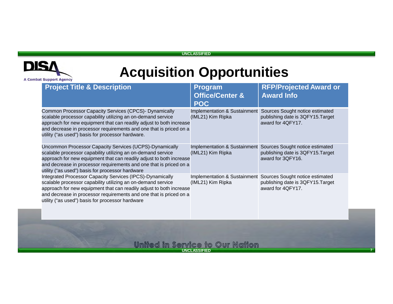

### **Acquisition Opportunities**

| <b>Project Title &amp; Description</b>                                                                                                                                                                                                                                                                                     | <b>Program</b><br><b>Office/Center &amp;</b><br><b>POC</b> | <b>RFP/Projected Award or</b><br><b>Award Info</b>                                                                     |
|----------------------------------------------------------------------------------------------------------------------------------------------------------------------------------------------------------------------------------------------------------------------------------------------------------------------------|------------------------------------------------------------|------------------------------------------------------------------------------------------------------------------------|
| Common Processor Capacity Services (CPCS)- Dynamically<br>scalable processor capability utilizing an on-demand service<br>approach for new equipment that can readily adjust to both increase<br>and decrease in processor requirements and one that is priced on a<br>utility ("as used") basis for processor hardware.   | (IML21) Kim Ripka                                          | Implementation & Sustainment Sources Sought notice estimated<br>publishing date is 3QFY15. Target<br>award for 4QFY17. |
| Uncommon Processor Capacity Services (UCPS)-Dynamically<br>scalable processor capability utilizing an on-demand service<br>approach for new equipment that can readily adjust to both increase<br>and decrease in processor requirements and one that is priced on a<br>utility ("as used") basis for processor hardware   | Implementation & Sustainment<br>(IML21) Kim Ripka          | Sources Sought notice estimated<br>publishing date is 3QFY15. Target<br>award for 3QFY16.                              |
| Integrated Processor Capacity Services (IPCS)-Dynamically<br>scalable processor capability utilizing an on-demand service<br>approach for new equipment that can readily adjust to both increase<br>and decrease in processor requirements and one that is priced on a<br>utility ("as used") basis for processor hardware | (IML21) Kim Ripka                                          | Implementation & Sustainment Sources Sought notice estimated<br>publishing date is 3QFY15. Target<br>award for 4QFY17. |
|                                                                                                                                                                                                                                                                                                                            |                                                            |                                                                                                                        |

### United in Service to Our Nation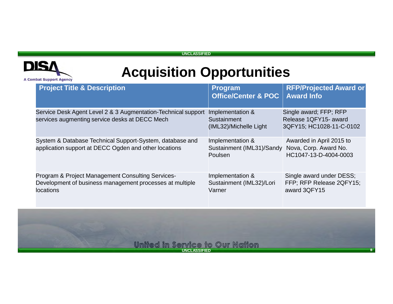

| <b>Project Title &amp; Description</b>                                                                                            | <b>Program</b><br><b>Office/Center &amp; POC</b>          | <b>RFP/Projected Award or</b><br><b>Award Info</b>                          |
|-----------------------------------------------------------------------------------------------------------------------------------|-----------------------------------------------------------|-----------------------------------------------------------------------------|
| Service Desk Agent Level 2 & 3 Augmentation-Technical support<br>services augmenting service desks at DECC Mech                   | Implementation &<br>Sustainment<br>(IML32)/Michelle Light | Single award; FFP; RFP<br>Release 1QFY15- award<br>3QFY15; HC1028-11-C-0102 |
| System & Database Technical Support-System, database and<br>application support at DECC Ogden and other locations                 | Implementation &<br>Sustainment (IML31)/Sandy<br>Poulsen  | Awarded in April 2015 to<br>Nova, Corp. Award No.<br>HC1047-13-D-4004-0003  |
| Program & Project Management Consulting Services-<br>Development of business management processes at multiple<br><b>locations</b> | Implementation &<br>Sustainment (IML32)/Lori<br>Varner    | Single award under DESS;<br>FFP; RFP Release 2QFY15;<br>award 3QFY15        |

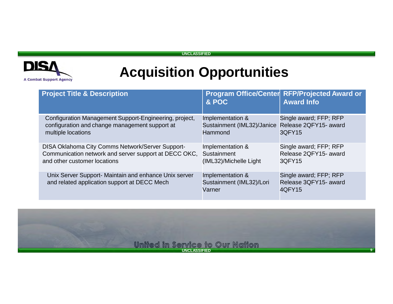

| <b>Project Title &amp; Description</b>                                                                                                    | & POC                                                                           | Program Office/Center RFP/Projected Award or<br><b>Award Info</b> |
|-------------------------------------------------------------------------------------------------------------------------------------------|---------------------------------------------------------------------------------|-------------------------------------------------------------------|
| Configuration Management Support-Engineering, project,<br>configuration and change management support at<br>multiple locations            | Implementation &<br>Sustainment (IML32)/Janice Release 2QFY15- award<br>Hammond | Single award; FFP; RFP<br>3QFY15                                  |
| DISA Oklahoma City Comms Network/Server Support-<br>Communication network and server support at DECC OKC,<br>and other customer locations | Implementation &<br>Sustainment<br>(IML32)/Michelle Light                       | Single award; FFP; RFP<br>Release 2QFY15- award<br>3QFY15         |
| Unix Server Support- Maintain and enhance Unix server<br>and related application support at DECC Mech                                     | Implementation &<br>Sustainment (IML32)/Lori<br>Varner                          | Single award; FFP; RFP<br>Release 3QFY15- award<br>4QFY15         |

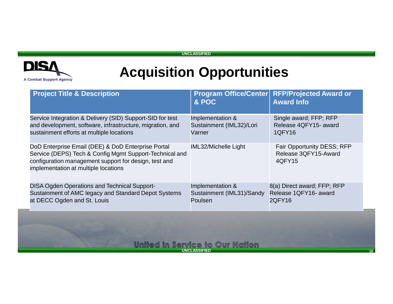### **DIS/ A Combat Support Agency**

**UNCLASSIFIED**

# **Acquisition Opportunities**

| <b>Project Title &amp; Description</b>                                                                                                                                                                         | & POC                                                    | <b>Program Office/Center RFP/Projected Award or</b><br><b>Award Info</b> |  |
|----------------------------------------------------------------------------------------------------------------------------------------------------------------------------------------------------------------|----------------------------------------------------------|--------------------------------------------------------------------------|--|
| Service Integration & Delivery (SID) Support-SID for test<br>and development, software, infrastructure, migration, and<br>sustainment efforts at multiple locations                                            | Implementation &<br>Sustainment (IML32)/Lori<br>Varner   | Single award; FFP; RFP<br>Release 4QFY15- award<br><b>1QFY16</b>         |  |
| DoD Enterprise Email (DEE) & DoD Enterprise Portal<br>Service (DEPS) Tech & Config Mgmt Support-Technical and<br>configuration management support for design, test and<br>implementation at multiple locations | IML32/Michelle Light                                     | Fair Opportunity DESS; RFP<br>Release 3QFY15-Award<br>4QFY15             |  |
| <b>DISA Ogden Operations and Technical Support-</b><br>Sustainment of AMC legacy and Standard Depot Systems<br>at DECC Ogden and St. Louis                                                                     | Implementation &<br>Sustainment (IML31)/Sandy<br>Poulsen | 8(a) Direct award; FFP; RFP<br>Release 1QFY16- award<br>2QFY16           |  |
| United in Service to Our Nation                                                                                                                                                                                |                                                          |                                                                          |  |

**UNCLASSIFIED**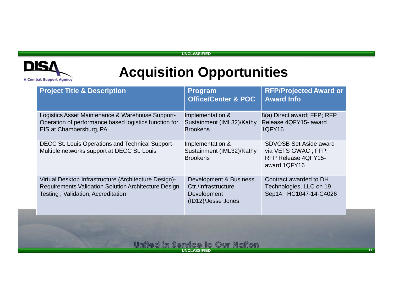

### **Acquisition Opportunities**

| <b>Project Title &amp; Description</b>                                                                                                              | <b>Program</b><br><b>Office/Center &amp; POC</b>                                   | <b>RFP/Projected Award or</b><br><b>Award Info</b>                                           |
|-----------------------------------------------------------------------------------------------------------------------------------------------------|------------------------------------------------------------------------------------|----------------------------------------------------------------------------------------------|
| Logistics Asset Maintenance & Warehouse Support-<br>Operation of performance based logistics function for<br>EIS at Chambersburg, PA                | Implementation &<br>Sustainment (IML32)/Kathy<br><b>Brookens</b>                   | 8(a) Direct award; FFP; RFP<br>Release 4QFY15- award<br>1QFY16                               |
| <b>DECC St. Louis Operations and Technical Support-</b><br>Multiple networks support at DECC St. Louis                                              | Implementation &<br>Sustainment (IML32)/Kathy<br><b>Brookens</b>                   | <b>SDVOSB Set Aside award</b><br>via VETS GWAC ; FFP;<br>RFP Release 4QFY15-<br>award 1QFY16 |
| Virtual Desktop Infrastructure (Architecture Design)-<br>Requirements Validation Solution Architecture Design<br>Testing, Validation, Accreditation | Development & Business<br>Ctr./Infrastructure<br>Development<br>(ID12)/Jesse Jones | Contract awarded to DH<br>Technologies, LLC on 19<br>Sep14. HC1047-14-C4026                  |
|                                                                                                                                                     |                                                                                    |                                                                                              |

### **UNCLASSIFIED <sup>11</sup>**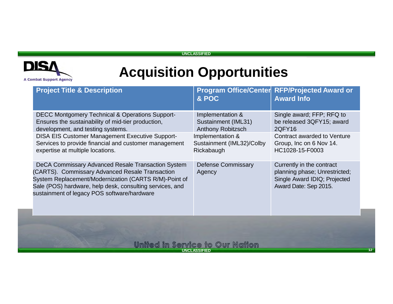

# **Acquisition Opportunities**

|                                 | <b>Project Title &amp; Description</b>                                                                                                                                                                                                                                    | & POC                                                               | Program Office/Center RFP/Projected Award or<br><b>Award Info</b>                                                   |
|---------------------------------|---------------------------------------------------------------------------------------------------------------------------------------------------------------------------------------------------------------------------------------------------------------------------|---------------------------------------------------------------------|---------------------------------------------------------------------------------------------------------------------|
|                                 | <b>DECC Montgomery Technical &amp; Operations Support-</b><br>Ensures the sustainability of mid-tier production,<br>development, and testing systems.                                                                                                                     | Implementation &<br>Sustainment (IML31)<br><b>Anthony Robitzsch</b> | Single award; FFP; RFQ to<br>be released 3QFY15; award<br>2QFY16                                                    |
|                                 | <b>DISA EIS Customer Management Executive Support-</b><br>Services to provide financial and customer management<br>expertise at multiple locations.                                                                                                                       | Implementation &<br>Sustainment (IML32)/Colby<br>Rickabaugh         | <b>Contract awarded to Venture</b><br>Group, Inc on 6 Nov 14.<br>HC1028-15-F0003                                    |
|                                 | DeCA Commissary Advanced Resale Transaction System<br>(CARTS). Commissary Advanced Resale Transaction<br>System Replacement/Modernization (CARTS R/M)-Point of<br>Sale (POS) hardware, help desk, consulting services, and<br>sustainment of legacy POS software/hardware | <b>Defense Commissary</b><br>Agency                                 | Currently in the contract<br>planning phase; Unrestricted;<br>Single Award IDIQ; Projected<br>Award Date: Sep 2015. |
| United in Service to Our Nation |                                                                                                                                                                                                                                                                           |                                                                     |                                                                                                                     |

**UNCLASSIFIED**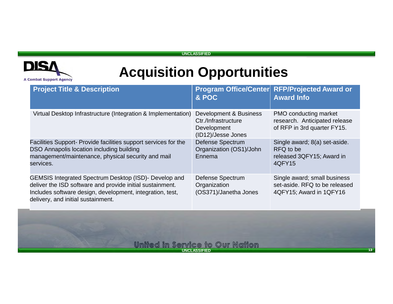

| <b>Project Title &amp; Description</b>                                                                                                                                                                                | & POC                                                                              | Program Office/Center RFP/Projected Award or<br><b>Award Info</b>                            |
|-----------------------------------------------------------------------------------------------------------------------------------------------------------------------------------------------------------------------|------------------------------------------------------------------------------------|----------------------------------------------------------------------------------------------|
| Virtual Desktop Infrastructure (Integration & Implementation)                                                                                                                                                         | Development & Business<br>Ctr./Infrastructure<br>Development<br>(ID12)/Jesse Jones | <b>PMO conducting market</b><br>research. Anticipated release<br>of RFP in 3rd quarter FY15. |
| Facilities Support- Provide facilities support services for the<br>DSO Annapolis location including building<br>management/maintenance, physical security and mail<br>services.                                       | <b>Defense Spectrum</b><br>Organization (OS1)/John<br>Ennema                       | Single award; 8(a) set-aside.<br>RFQ to be<br>released 3QFY15; Award in<br>4QFY15            |
| GEMSIS Integrated Spectrum Desktop (ISD)- Develop and<br>deliver the ISD software and provide initial sustainment.<br>Includes software design, development, integration, test,<br>delivery, and initial sustainment. | Defense Spectrum<br>Organization<br>(OS371)/Janetha Jones                          | Single award; small business<br>set-aside. RFQ to be released<br>4QFY15; Award in 1QFY16     |

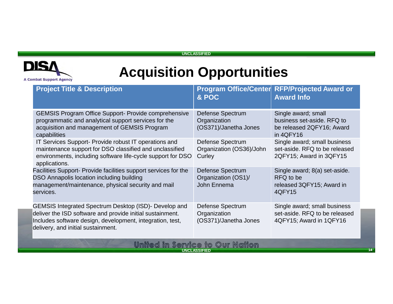

### **Acquisition Opportunities**

| <b>Project Title &amp; Description</b>                                                                                                                                                                                | & POC                                                     | Program Office/Center RFP/Projected Award or<br><b>Award Info</b>                           |
|-----------------------------------------------------------------------------------------------------------------------------------------------------------------------------------------------------------------------|-----------------------------------------------------------|---------------------------------------------------------------------------------------------|
| <b>GEMSIS Program Office Support- Provide comprehensive</b><br>programmatic and analytical support services for the<br>acquisition and management of GEMSIS Program<br>capabilities                                   | Defense Spectrum<br>Organization<br>(OS371)/Janetha Jones | Single award; small<br>business set-aside. RFQ to<br>be released 2QFY16; Award<br>in 4QFY16 |
| IT Services Support- Provide robust IT operations and<br>maintenance support for DSO classified and unclassified<br>environments, including software life-cycle support for DSO<br>applications.                      | Defense Spectrum<br>Organization (OS36)/John<br>Curley    | Single award; small business<br>set-aside. RFQ to be released<br>2QFY15; Award in 3QFY15    |
| Facilities Support- Provide facilities support services for the<br>DSO Annapolis location including building<br>management/maintenance, physical security and mail<br>services.                                       | Defense Spectrum<br>Organization (OS1)/<br>John Ennema    | Single award; 8(a) set-aside.<br>RFQ to be<br>released 3QFY15; Award in<br>4QFY15           |
| GEMSIS Integrated Spectrum Desktop (ISD)- Develop and<br>deliver the ISD software and provide initial sustainment.<br>Includes software design, development, integration, test,<br>delivery, and initial sustainment. | Defense Spectrum<br>Organization<br>(OS371)/Janetha Jones | Single award; small business<br>set-aside. RFQ to be released<br>4QFY15; Award in 1QFY16    |

#### שמש **N**drion owr *De***IAI** CG 10 **UNCLASSIFIED14 14**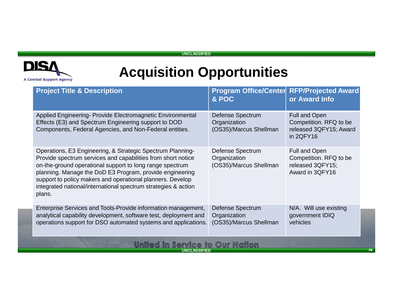

| <b>Project Title &amp; Description</b>                                                                                                                                                                                                                                                                                                                                                       | & POC                                                             | <b>Program Office/Center RFP/Projected Award</b><br>or Award Info                     |  |
|----------------------------------------------------------------------------------------------------------------------------------------------------------------------------------------------------------------------------------------------------------------------------------------------------------------------------------------------------------------------------------------------|-------------------------------------------------------------------|---------------------------------------------------------------------------------------|--|
| Applied Engineering- Provide Electromagnetic Environmental<br>Effects (E3) and Spectrum Engineering support to DOD<br>Components, Federal Agencies, and Non-Federal entities.                                                                                                                                                                                                                | <b>Defense Spectrum</b><br>Organization<br>(OS35)/Marcus Shellman | <b>Full and Open</b><br>Competition. RFQ to be<br>released 3QFY15; Award<br>in 2QFY16 |  |
| Operations, E3 Engineering, & Strategic Spectrum Planning-<br>Provide spectrum services and capabilities from short notice<br>on-the-ground operational support to long range spectrum<br>planning. Manage the DoD E3 Program, provide engineering<br>support to policy makers and operational planners. Develop<br>integrated national/international spectrum strategies & action<br>plans. | Defense Spectrum<br>Organization<br>(OS35)/Marcus Shellman        | <b>Full and Open</b><br>Competition. RFQ to be<br>released 3QFY15;<br>Award in 3QFY16 |  |
| Enterprise Services and Tools-Provide information management,<br>analytical capability development, software test, deployment and<br>operations support for DSO automated systems and applications.                                                                                                                                                                                          | <b>Defense Spectrum</b><br>Organization<br>(OS35)/Marcus Shellman | N/A. Will use existing<br>government IDIQ<br>vehicles                                 |  |
| United in Service to Our Nation<br><b>UNCLASSIFIED</b>                                                                                                                                                                                                                                                                                                                                       |                                                                   |                                                                                       |  |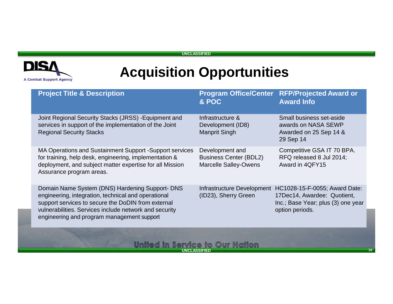

# **Acquisition Opportunities**

| <b>Project Title &amp; Description</b>                                                                                                                                                                                                                               | & POC                                                                            | <b>Program Office/Center RFP/Projected Award or</b><br><b>Award Info</b>                                                                         |
|----------------------------------------------------------------------------------------------------------------------------------------------------------------------------------------------------------------------------------------------------------------------|----------------------------------------------------------------------------------|--------------------------------------------------------------------------------------------------------------------------------------------------|
| Joint Regional Security Stacks (JRSS) - Equipment and<br>services in support of the implementation of the Joint<br><b>Regional Security Stacks</b>                                                                                                                   | Infrastructure &<br>Development (ID8)<br><b>Manprit Singh</b>                    | Small business set-aside<br>awards on NASA SEWP<br>Awarded on 25 Sep 14 &<br>29 Sep 14                                                           |
| MA Operations and Sustainment Support - Support services<br>for training, help desk, engineering, implementation &<br>deployment, and subject matter expertise for all Mission<br>Assurance program areas.                                                           | Development and<br><b>Business Center (BDL2)</b><br><b>Marcelle Salley-Owens</b> | Competitive GSA IT 70 BPA.<br>RFQ released 8 Jul 2014;<br>Award in 4QFY15                                                                        |
| Domain Name System (DNS) Hardening Support- DNS<br>engineering, integration, technical and operational<br>support services to secure the DoDIN from external<br>vulnerabilities. Services include network and security<br>engineering and program management support | (ID23), Sherry Green                                                             | Infrastructure Development HC1028-15-F-0055; Award Date:<br>17Dec14, Awardee: Quotient,<br>Inc.; Base Year; plus (3) one year<br>option periods. |
|                                                                                                                                                                                                                                                                      | Ilinitad in Service to Our Nation                                                |                                                                                                                                                  |

**UNCLASSIFIED<sup>16</sup>**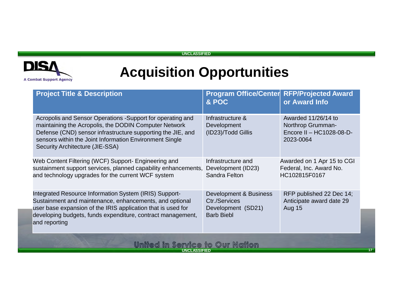

# **Acquisition Opportunities**

| <b>Project Title &amp; Description</b>                                                                                                                                                                                                                                           | & POC                                                                              | <b>Program Office/Center RFP/Projected Award</b><br>or Award Info                 |  |
|----------------------------------------------------------------------------------------------------------------------------------------------------------------------------------------------------------------------------------------------------------------------------------|------------------------------------------------------------------------------------|-----------------------------------------------------------------------------------|--|
| Acropolis and Sensor Operations -Support for operating and<br>maintaining the Acropolis, the DODIN Computer Network<br>Defense (CND) sensor infrastructure supporting the JIE, and<br>sensors within the Joint Information Environment Single<br>Security Architecture (JIE-SSA) | Infrastructure &<br>Development<br>(ID23)/Todd Gillis                              | Awarded 11/26/14 to<br>Northrop Grumman-<br>Encore II - HC1028-08-D-<br>2023-0064 |  |
| Web Content Filtering (WCF) Support- Engineering and<br>sustainment support services, planned capability enhancements,<br>and technology upgrades for the current WCF system                                                                                                     | Infrastructure and<br>Development (ID23)<br>Sandra Felton                          | Awarded on 1 Apr 15 to CGI<br>Federal, Inc. Award No.<br>HC102815F0167            |  |
| Integrated Resource Information System (IRIS) Support-<br>Sustainment and maintenance, enhancements, and optional<br>user base expansion of the IRIS application that is used for<br>developing budgets, funds expenditure, contract management,<br>and reporting                | Development & Business<br>Ctr./Services<br>Development (SD21)<br><b>Barb Biebl</b> | RFP published 22 Dec 14;<br>Anticipate award date 29<br><b>Aug 15</b>             |  |
| United in Service to Our Nation                                                                                                                                                                                                                                                  |                                                                                    |                                                                                   |  |

**UNCLASSIFIED1 17**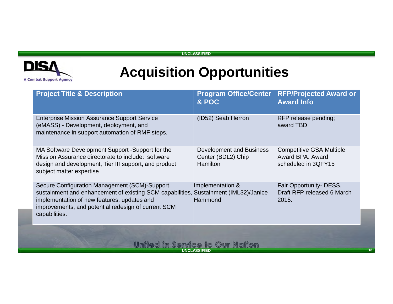

| <b>Project Title &amp; Description</b>                                                                                                                                                                                             | <b>Program Office/Center</b><br>& POC                             | <b>RFP/Projected Award or</b><br><b>Award Info</b>                         |  |
|------------------------------------------------------------------------------------------------------------------------------------------------------------------------------------------------------------------------------------|-------------------------------------------------------------------|----------------------------------------------------------------------------|--|
| <b>Enterprise Mission Assurance Support Service</b><br>(eMASS) - Development, deployment, and<br>maintenance in support automation of RMF steps.                                                                                   | (ID52) Seab Herron                                                | RFP release pending;<br>award TBD                                          |  |
| MA Software Development Support -Support for the<br>Mission Assurance directorate to include: software<br>design and development, Tier III support, and product<br>subject matter expertise                                        | Development and Business<br>Center (BDL2) Chip<br><b>Hamilton</b> | <b>Competitive GSA Multiple</b><br>Award BPA. Award<br>scheduled in 3QFY15 |  |
| Secure Configuration Management (SCM)-Support,<br>sustainment and enhancement of existing SCM capabilities,<br>implementation of new features, updates and<br>improvements, and potential redesign of current SCM<br>capabilities. | Implementation &<br>Sustainment (IML32)/Janice<br>Hammond         | Fair Opportunity- DESS.<br>Draft RFP released 6 March<br>2015.             |  |
| <u>United in Service to Our Nation</u><br><b>UNCLASSIFIED</b>                                                                                                                                                                      |                                                                   |                                                                            |  |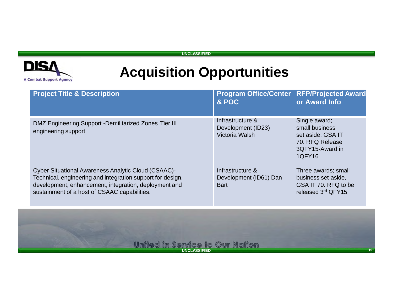

| <b>Project Title &amp; Description</b>                                                                                                                                                                                     | <b>Program Office/Center</b><br>& POC                     | <b>RFP/Projected Award</b><br>or Award Info                                                          |
|----------------------------------------------------------------------------------------------------------------------------------------------------------------------------------------------------------------------------|-----------------------------------------------------------|------------------------------------------------------------------------------------------------------|
| DMZ Engineering Support - Demilitarized Zones Tier III<br>engineering support                                                                                                                                              | Infrastructure &<br>Development (ID23)<br>Victoria Walsh  | Single award;<br>small business<br>set aside, GSA IT<br>70. RFQ Release<br>3QFY15-Award in<br>1QFY16 |
| Cyber Situational Awareness Analytic Cloud (CSAAC)-<br>Technical, engineering and integration support for design,<br>development, enhancement, integration, deployment and<br>sustainment of a host of CSAAC capabilities. | Infrastructure &<br>Development (ID61) Dan<br><b>Bart</b> | Three awards; small<br>business set-aside,<br>GSA IT 70. RFQ to be<br>released 3rd QFY15             |

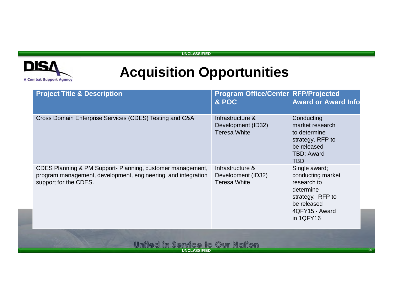

| Cross Domain Enterprise Services (CDES) Testing and C&A<br>Infrastructure &<br>Conducting<br>Development (ID32)<br>market research<br><b>Teresa White</b><br>to determine<br>strategy. RFP to<br>be released<br>TBD; Award<br><b>TBD</b><br>Single award;<br>CDES Planning & PM Support- Planning, customer management,<br>Infrastructure &<br>program management, development, engineering, and integration<br>conducting market<br>Development (ID32)<br>support for the CDES.<br><b>Teresa White</b><br>research to<br>determine<br>strategy. RFP to<br>be released<br>4QFY15 - Award<br>in 1QFY16 | <b>Project Title &amp; Description</b> | Program Office/Center RFP/Projected<br>& POC | <b>Award or Award Info</b> |
|-------------------------------------------------------------------------------------------------------------------------------------------------------------------------------------------------------------------------------------------------------------------------------------------------------------------------------------------------------------------------------------------------------------------------------------------------------------------------------------------------------------------------------------------------------------------------------------------------------|----------------------------------------|----------------------------------------------|----------------------------|
|                                                                                                                                                                                                                                                                                                                                                                                                                                                                                                                                                                                                       |                                        |                                              |                            |
|                                                                                                                                                                                                                                                                                                                                                                                                                                                                                                                                                                                                       |                                        |                                              |                            |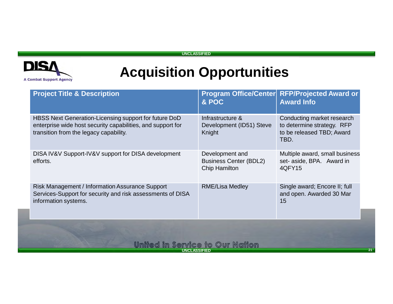

# **Acquisition Opportunities**

| <b>Project Title &amp; Description</b>                                                                                                                         | & POC                                                             | Program Office/Center RFP/Projected Award or<br><b>Award Info</b>                             |
|----------------------------------------------------------------------------------------------------------------------------------------------------------------|-------------------------------------------------------------------|-----------------------------------------------------------------------------------------------|
| HBSS Next Generation-Licensing support for future DoD<br>enterprise wide host security capabilities, and support for<br>transition from the legacy capability. | Infrastructure &<br>Development (ID51) Steve<br>Knight            | Conducting market research<br>to determine strategy. RFP<br>to be released TBD; Award<br>TBD. |
| DISA IV&V Support-IV&V support for DISA development<br>efforts.                                                                                                | Development and<br><b>Business Center (BDL2)</b><br>Chip Hamilton | Multiple award, small business<br>set- aside, BPA. Award in<br>4QFY15                         |
| <b>Risk Management / Information Assurance Support</b><br>Services-Support for security and risk assessments of DISA<br>information systems.                   | <b>RME/Lisa Medley</b>                                            | Single award; Encore II; full<br>and open. Awarded 30 Mar<br>15                               |
|                                                                                                                                                                |                                                                   |                                                                                               |

**UNCLASSIFIED**

9GI VI

CG 10

**N**drion

owr

שומש